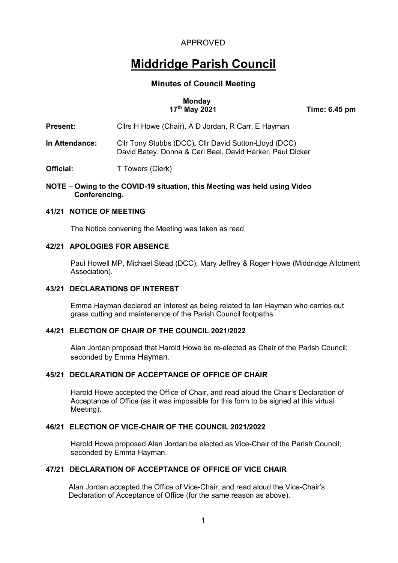# **Middridge Parish Council**

#### **Minutes of Council Meeting**

# **Monday**<br>17<sup>th</sup> May 2021

 **17th May 2021 Time: 6.45 pm**

# **Present:** Cllrs H Howe (Chair), A D Jordan, R Carr, E Hayman

**In Attendance:** Cllr Tony Stubbs (DCC)**,** Cllr David Sutton-Lloyd (DCC) David Batey, Donna & Carl Beal, David Harker, Paul Dicker

**Official:** T Towers (Clerk)

#### **NOTE – Owing to the COVID-19 situation, this Meeting was held using Video Conferencing.**

#### **41/21 NOTICE OF MEETING**

The Notice convening the Meeting was taken as read.

#### **42/21 APOLOGIES FOR ABSENCE**

Paul Howell MP, Michael Stead (DCC), Mary Jeffrey & Roger Howe (Middridge Allotment Association).

#### **43/21 DECLARATIONS OF INTEREST**

Emma Hayman declared an interest as being related to Ian Hayman who carries out grass cutting and maintenance of the Parish Council footpaths.

#### **44/21 ELECTION OF CHAIR OF THE COUNCIL 2021/2022**

Alan Jordan proposed that Harold Howe be re-elected as Chair of the Parish Council; seconded by Emma Hayman.

#### **45/21 DECLARATION OF ACCEPTANCE OF OFFICE OF CHAIR**

Harold Howe accepted the Office of Chair, and read aloud the Chair's Declaration of Acceptance of Office (as it was impossible for this form to be signed at this virtual Meeting).

#### **46/21 ELECTION OF VICE-CHAIR OF THE COUNCIL 2021/2022**

Harold Howe proposed Alan Jordan be elected as Vice-Chair of the Parish Council; seconded by Emma Hayman.

#### **47/21 DECLARATION OF ACCEPTANCE OF OFFICE OF VICE CHAIR**

Alan Jordan accepted the Office of Vice-Chair, and read aloud the Vice-Chair's Declaration of Acceptance of Office (for the same reason as above).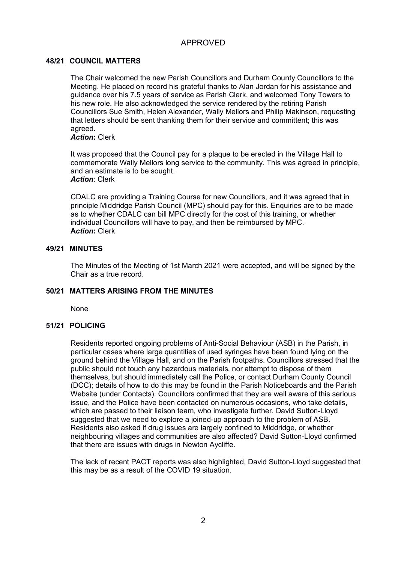#### **48/21 COUNCIL MATTERS**

The Chair welcomed the new Parish Councillors and Durham County Councillors to the Meeting. He placed on record his grateful thanks to Alan Jordan for his assistance and guidance over his 7.5 years of service as Parish Clerk, and welcomed Tony Towers to his new role. He also acknowledged the service rendered by the retiring Parish Councillors Sue Smith, Helen Alexander, Wally Mellors and Philip Makinson, requesting that letters should be sent thanking them for their service and committent; this was agreed.

*Action***:** Clerk

It was proposed that the Council pay for a plaque to be erected in the Village Hall to commemorate Wally Mellors long service to the community. This was agreed in principle, and an estimate is to be sought. *Action: Clerk* 

CDALC are providing a Training Course for new Councillors, and it was agreed that in principle Middridge Parish Council (MPC) should pay for this. Enquiries are to be made as to whether CDALC can bill MPC directly for the cost of this training, or whether individual Councillors will have to pay, and then be reimbursed by MPC. **A***ction***:** Clerk

#### **49/21 MINUTES**

The Minutes of the Meeting of 1st March 2021 were accepted, and will be signed by the Chair as a true record.

#### **50/21 MATTERS ARISING FROM THE MINUTES**

None

## **51/21 POLICING**

Residents reported ongoing problems of Anti-Social Behaviour (ASB) in the Parish, in particular cases where large quantities of used syringes have been found lying on the ground behind the Village Hall, and on the Parish footpaths. Councillors stressed that the public should not touch any hazardous materials, nor attempt to dispose of them themselves, but should immediately call the Police, or contact Durham County Council (DCC); details of how to do this may be found in the Parish Noticeboards and the Parish Website (under Contacts). Councillors confirmed that they are well aware of this serious issue, and the Police have been contacted on numerous occasions, who take details, which are passed to their liaison team, who investigate further. David Sutton-Lloyd suggested that we need to explore a joined-up approach to the problem of ASB. Residents also asked if drug issues are largely confined to Middridge, or whether neighbouring villages and communities are also affected? David Sutton-Lloyd confirmed that there are issues with drugs in Newton Aycliffe.

The lack of recent PACT reports was also highlighted, David Sutton-Lloyd suggested that this may be as a result of the COVID 19 situation.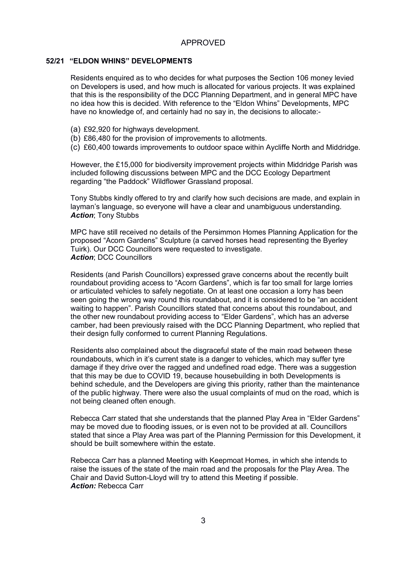#### **52/21 "ELDON WHINS" DEVELOPMENTS**

Residents enquired as to who decides for what purposes the Section 106 money levied on Developers is used, and how much is allocated for various projects. It was explained that this is the responsibility of the DCC Planning Department, and in general MPC have no idea how this is decided. With reference to the "Eldon Whins" Developments, MPC have no knowledge of, and certainly had no say in, the decisions to allocate:-

- (a) £92,920 for highways development.
- (b) £86,480 for the provision of improvements to allotments.
- (c) £60,400 towards improvements to outdoor space within Aycliffe North and Middridge.

However, the £15,000 for biodiversity improvement projects within Middridge Parish was included following discussions between MPC and the DCC Ecology Department regarding "the Paddock" Wildflower Grassland proposal.

Tony Stubbs kindly offered to try and clarify how such decisions are made, and explain in layman's language, so everyone will have a clear and unambiguous understanding. *Action*; Tony Stubbs

MPC have still received no details of the Persimmon Homes Planning Application for the proposed "Acorn Gardens" Sculpture (a carved horses head representing the Byerley Tuirk). Our DCC Councillors were requested to investigate. *Action*; DCC Councillors

Residents (and Parish Councillors) expressed grave concerns about the recently built roundabout providing access to "Acorn Gardens", which is far too small for large lorries or articulated vehicles to safely negotiate. On at least one occasion a lorry has been seen going the wrong way round this roundabout, and it is considered to be "an accident waiting to happen". Parish Councillors stated that concerns about this roundabout, and the other new roundabout providing access to "Elder Gardens", which has an adverse camber, had been previously raised with the DCC Planning Department, who replied that their design fully conformed to current Planning Regulations.

Residents also complained about the disgraceful state of the main road between these roundabouts, which in it's current state is a danger to vehicles, which may suffer tyre damage if they drive over the ragged and undefined road edge. There was a suggestion that this may be due to COVID 19, because housebuilding in both Developments is behind schedule, and the Developers are giving this priority, rather than the maintenance of the public highway. There were also the usual complaints of mud on the road, which is not being cleaned often enough.

Rebecca Carr stated that she understands that the planned Play Area in "Elder Gardens" may be moved due to flooding issues, or is even not to be provided at all. Councillors stated that since a Play Area was part of the Planning Permission for this Development, it should be built somewhere within the estate.

Rebecca Carr has a planned Meeting with Keepmoat Homes, in which she intends to raise the issues of the state of the main road and the proposals for the Play Area. The Chair and David Sutton-Lloyd will try to attend this Meeting if possible. *Action:* Rebecca Carr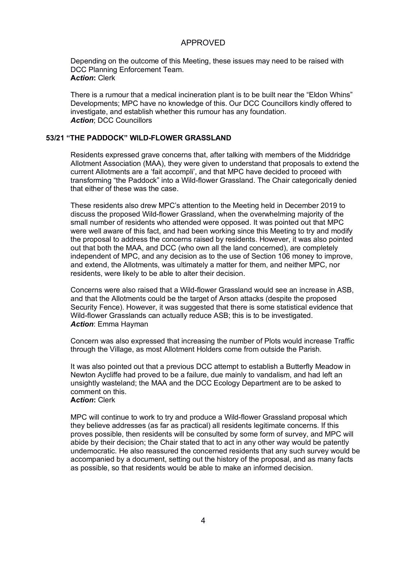Depending on the outcome of this Meeting, these issues may need to be raised with DCC Planning Enforcement Team. **A***ction***:** Clerk

There is a rumour that a medical incineration plant is to be built near the "Eldon Whins" Developments; MPC have no knowledge of this. Our DCC Councillors kindly offered to investigate, and establish whether this rumour has any foundation. *Action*; DCC Councillors

#### **53/21 "THE PADDOCK" WILD-FLOWER GRASSLAND**

Residents expressed grave concerns that, after talking with members of the Middridge Allotment Association (MAA), they were given to understand that proposals to extend the current Allotments are a 'fait accompli', and that MPC have decided to proceed with transforming "the Paddock" into a Wild-flower Grassland. The Chair categorically denied that either of these was the case.

These residents also drew MPC's attention to the Meeting held in December 2019 to discuss the proposed Wild-flower Grassland, when the overwhelming majority of the small number of residents who attended were opposed. It was pointed out that MPC were well aware of this fact, and had been working since this Meeting to try and modify the proposal to address the concerns raised by residents. However, it was also pointed out that both the MAA, and DCC (who own all the land concerned), are completely independent of MPC, and any decision as to the use of Section 106 money to improve, and extend, the Allotments, was ultimately a matter for them, and neither MPC, nor residents, were likely to be able to alter their decision.

Concerns were also raised that a Wild-flower Grassland would see an increase in ASB, and that the Allotments could be the target of Arson attacks (despite the proposed Security Fence). However, it was suggested that there is some statistical evidence that Wild-flower Grasslands can actually reduce ASB; this is to be investigated. *Action*: Emma Hayman

Concern was also expressed that increasing the number of Plots would increase Traffic through the Village, as most Allotment Holders come from outside the Parish.

It was also pointed out that a previous DCC attempt to establish a Butterfly Meadow in Newton Aycliffe had proved to be a failure, due mainly to vandalism, and had left an unsightly wasteland; the MAA and the DCC Ecology Department are to be asked to comment on this. **A***ction***:** Clerk

MPC will continue to work to try and produce a Wild-flower Grassland proposal which they believe addresses (as far as practical) all residents legitimate concerns. If this proves possible, then residents will be consulted by some form of survey, and MPC will abide by their decision; the Chair stated that to act in any other way would be patently undemocratic. He also reassured the concerned residents that any such survey would be accompanied by a document, setting out the history of the proposal, and as many facts as possible, so that residents would be able to make an informed decision.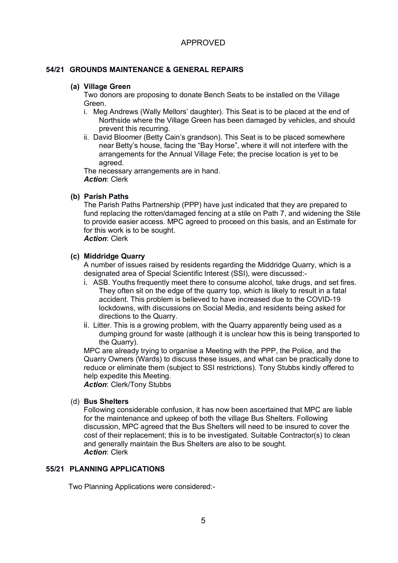#### **54/21 GROUNDS MAINTENANCE & GENERAL REPAIRS**

#### **(a) Village Green**

Two donors are proposing to donate Bench Seats to be installed on the Village Green.

- i. Meg Andrews (Wally Mellors' daughter). This Seat is to be placed at the end of Northside where the Village Green has been damaged by vehicles, and should prevent this recurring.
- ii. David Bloomer (Betty Cain's grandson). This Seat is to be placed somewhere near Betty's house, facing the "Bay Horse", where it will not interfere with the arrangements for the Annual Village Fete; the precise location is yet to be agreed.

The necessary arrangements are in hand. *Action*: Clerk

#### **(b) Parish Paths**

The Parish Paths Partnership (PPP) have just indicated that they are prepared to fund replacing the rotten/damaged fencing at a stile on Path 7, and widening the Stile to provide easier access. MPC agreed to proceed on this basis, and an Estimate for for this work is to be sought.

# *Action*: Clerk

#### **(c) Middridge Quarry**

A number of issues raised by residents regarding the Middridge Quarry, which is a designated area of Special Scientific Interest (SSI), were discussed:-

- i. ASB. Youths frequently meet there to consume alcohol, take drugs, and set fires. They often sit on the edge of the quarry top, which is likely to result in a fatal accident. This problem is believed to have increased due to the COVID-19 lockdowns, with discussions on Social Media, and residents being asked for directions to the Quarry.
- ii. Litter. This is a growing problem, with the Quarry apparently being used as a dumping ground for waste (although it is unclear how this is being transported to the Quarry).

MPC are already trying to organise a Meeting with the PPP, the Police, and the Quarry Owners (Wards) to discuss these issues, and what can be practically done to reduce or eliminate them (subject to SSI restrictions). Tony Stubbs kindly offered to help expedite this Meeting.

*Action*: Clerk/Tony Stubbs

#### (d) **Bus Shelters**

Following considerable confusion, it has now been ascertained that MPC are liable for the maintenance and upkeep of both the village Bus Shelters. Following discussion, MPC agreed that the Bus Shelters will need to be insured to cover the cost of their replacement; this is to be investigated. Suitable Contractor(s) to clean and generally maintain the Bus Shelters are also to be sought. *Action*: Clerk

#### **55/21 PLANNING APPLICATIONS**

Two Planning Applications were considered:-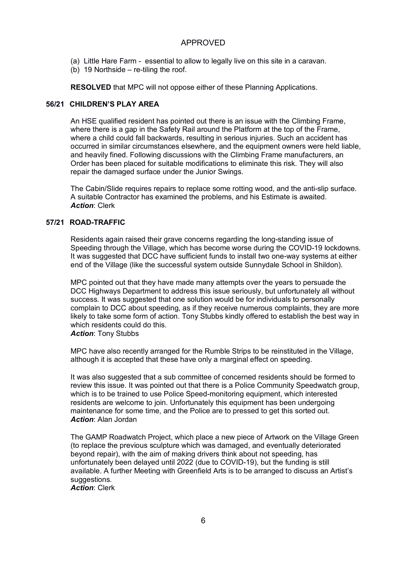- (a) Little Hare Farm essential to allow to legally live on this site in a caravan.
- (b) 19 Northside re-tiling the roof.

**RESOLVED** that MPC will not oppose either of these Planning Applications.

#### **56/21 CHILDREN'S PLAY AREA**

An HSE qualified resident has pointed out there is an issue with the Climbing Frame, where there is a gap in the Safety Rail around the Platform at the top of the Frame, where a child could fall backwards, resulting in serious injuries. Such an accident has occurred in similar circumstances elsewhere, and the equipment owners were held liable, and heavily fined. Following discussions with the Climbing Frame manufacturers, an Order has been placed for suitable modifications to eliminate this risk. They will also repair the damaged surface under the Junior Swings.

The Cabin/Slide requires repairs to replace some rotting wood, and the anti-slip surface. A suitable Contractor has examined the problems, and his Estimate is awaited. *Action*: Clerk

#### **57/21 ROAD-TRAFFIC**

Residents again raised their grave concerns regarding the long-standing issue of Speeding through the Village, which has become worse during the COVID-19 lockdowns. It was suggested that DCC have sufficient funds to install two one-way systems at either end of the Village (like the successful system outside Sunnydale School in Shildon).

MPC pointed out that they have made many attempts over the years to persuade the DCC Highways Department to address this issue seriously, but unfortunately all without success. It was suggested that one solution would be for individuals to personally complain to DCC about speeding, as if they receive numerous complaints, they are more likely to take some form of action. Tony Stubbs kindly offered to establish the best way in which residents could do this.

*Action*: Tony Stubbs

MPC have also recently arranged for the Rumble Strips to be reinstituted in the Village, although it is accepted that these have only a marginal effect on speeding.

It was also suggested that a sub committee of concerned residents should be formed to review this issue. It was pointed out that there is a Police Community Speedwatch group, which is to be trained to use Police Speed-monitoring equipment, which interested residents are welcome to join. Unfortunately this equipment has been undergoing maintenance for some time, and the Police are to pressed to get this sorted out. *Action*: Alan Jordan

The GAMP Roadwatch Project, which place a new piece of Artwork on the Village Green (to replace the previous sculpture which was damaged, and eventually deteriorated beyond repair), with the aim of making drivers think about not speeding, has unfortunately been delayed until 2022 (due to COVID-19), but the funding is still available. A further Meeting with Greenfield Arts is to be arranged to discuss an Artist's suggestions.

*Action*: Clerk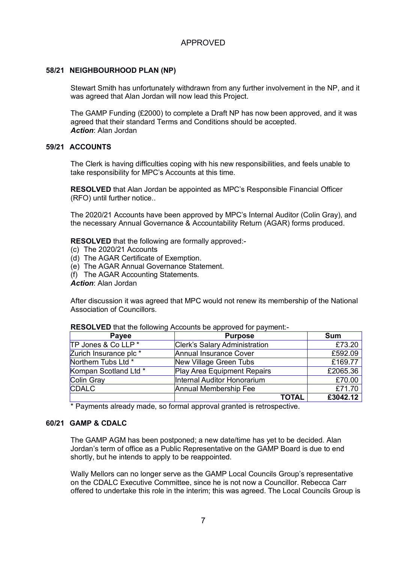#### **58/21 NEIGHBOURHOOD PLAN (NP)**

Stewart Smith has unfortunately withdrawn from any further involvement in the NP, and it was agreed that Alan Jordan will now lead this Project.

The GAMP Funding (£2000) to complete a Draft NP has now been approved, and it was agreed that their standard Terms and Conditions should be accepted. *Action*: Alan Jordan

#### **59/21 ACCOUNTS**

The Clerk is having difficulties coping with his new responsibilities, and feels unable to take responsibility for MPC's Accounts at this time.

**RESOLVED** that Alan Jordan be appointed as MPC's Responsible Financial Officer (RFO) until further notice..

The 2020/21 Accounts have been approved by MPC's Internal Auditor (Colin Gray), and the necessary Annual Governance & Accountability Return (AGAR) forms produced.

**RESOLVED** that the following are formally approved:-

- (c) The 2020/21 Accounts
- (d) The AGAR Certificate of Exemption.
- (e) The AGAR Annual Governance Statement.
- (f) The AGAR Accounting Statements.

*Action*: Alan Jordan

After discussion it was agreed that MPC would not renew its membership of the National Association of Councillors.

| Payee                  | <b>Purpose</b>                |       | <b>Sum</b> |
|------------------------|-------------------------------|-------|------------|
| TP Jones & Co LLP *    | Clerk's Salary Administration |       | £73.20     |
| Zurich Insurance plc * | Annual Insurance Cover        |       | £592.09    |
| Northern Tubs Ltd *    | New Village Green Tubs        |       | £169.77    |
| Kompan Scotland Ltd *  | Play Area Equipment Repairs   |       | £2065.36   |
| Colin Gray             | Internal Auditor Honorarium   |       | £70.00     |
| <b>CDALC</b>           | Annual Membership Fee         |       | £71.70     |
|                        |                               | TOTAL | £3042.12   |

#### **RESOLVED** that the following Accounts be approved for payment:-

\* Payments already made, so formal approval granted is retrospective.

#### **60/21 GAMP & CDALC**

The GAMP AGM has been postponed; a new date/time has yet to be decided. Alan Jordan's term of office as a Public Representative on the GAMP Board is due to end shortly, but he intends to apply to be reappointed.

Wally Mellors can no longer serve as the GAMP Local Councils Group's representative on the CDALC Executive Committee, since he is not now a Councillor. Rebecca Carr offered to undertake this role in the interim; this was agreed. The Local Councils Group is